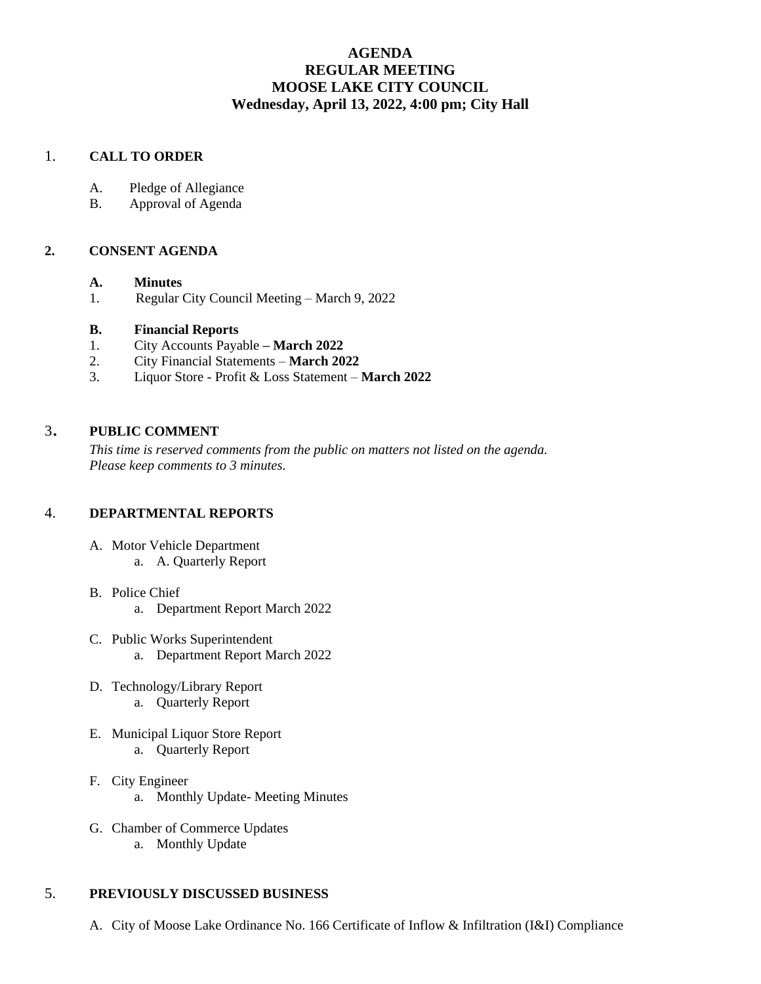# **AGENDA REGULAR MEETING MOOSE LAKE CITY COUNCIL Wednesday, April 13, 2022, 4:00 pm; City Hall**

## 1. **CALL TO ORDER**

- A. Pledge of Allegiance
- B. Approval of Agenda

#### **2. CONSENT AGENDA**

#### **A. Minutes**

1. Regular City Council Meeting – March 9, 2022

#### **B. Financial Reports**

- 1. City Accounts Payable **– March 2022**
- 2. City Financial Statements **March 2022**
- 3. Liquor Store Profit & Loss Statement **March 2022**

## <sup>3</sup>. **PUBLIC COMMENT**

*This time is reserved comments from the public on matters not listed on the agenda. Please keep comments to 3 minutes.*

## 4. **DEPARTMENTAL REPORTS**

- A. Motor Vehicle Department a. A. Quarterly Report
- B. Police Chief a. Department Report March 2022
- C. Public Works Superintendent a. Department Report March 2022
- D. Technology/Library Report a. Quarterly Report
- E. Municipal Liquor Store Report a. Quarterly Report
- F. City Engineer a. Monthly Update- Meeting Minutes
- G. Chamber of Commerce Updates a. Monthly Update

### 5. **PREVIOUSLY DISCUSSED BUSINESS**

A. City of Moose Lake Ordinance No. 166 Certificate of Inflow & Infiltration (I&I) Compliance